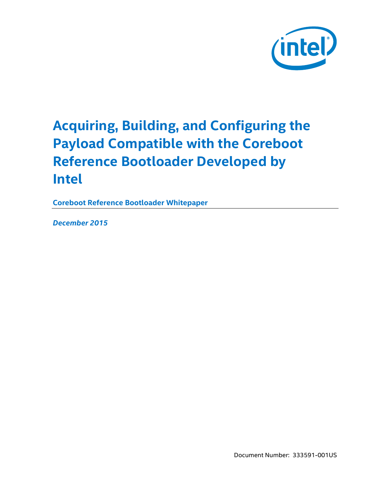

# **Acquiring, Building, and Configuring the Payload Compatible with the Coreboot Reference Bootloader Developed by Intel**

**Coreboot Reference Bootloader Whitepaper**

*December 2015*

Document Number: 333591-001US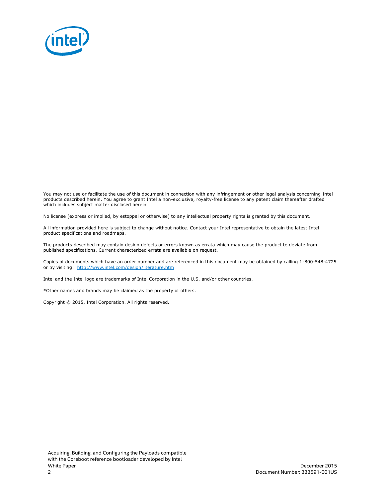

You may not use or facilitate the use of this document in connection with any infringement or other legal analysis concerning Intel products described herein. You agree to grant Intel a non-exclusive, royalty-free license to any patent claim thereafter drafted which includes subject matter disclosed herein

No license (express or implied, by estoppel or otherwise) to any intellectual property rights is granted by this document.

All information provided here is subject to change without notice. Contact your Intel representative to obtain the latest Intel product specifications and roadmaps.

The products described may contain design defects or errors known as errata which may cause the product to deviate from published specifications. Current characterized errata are available on request.

Copies of documents which have an order number and are referenced in this document may be obtained by calling 1-800-548-4725 or by visiting: [http://w](http://www.intel.com/design/literature.htm)ww.intel.com/design/literature.htm

Intel and the Intel logo are trademarks of Intel Corporation in the U.S. and/or other countries.

\*Other names and brands may be claimed as the property of others.

Copyright © 2015, Intel Corporation. All rights reserved.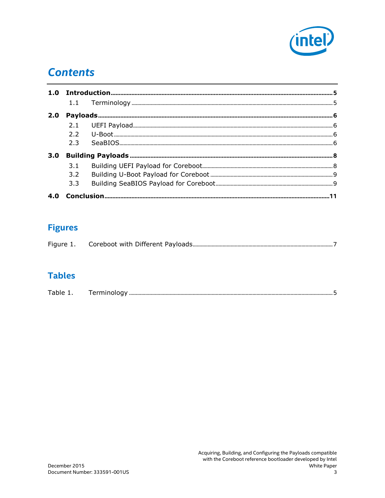

### **Contents**

| 2.0 |     |  |  |
|-----|-----|--|--|
|     |     |  |  |
|     |     |  |  |
|     | 2.3 |  |  |
| 3.0 |     |  |  |
|     | 3.1 |  |  |
|     | 3.2 |  |  |
|     | 3.3 |  |  |
|     |     |  |  |

### **Figures**

| Figure 1. |  |  |
|-----------|--|--|
|-----------|--|--|

#### **Tables**

| - | Terminology |  |
|---|-------------|--|
|   |             |  |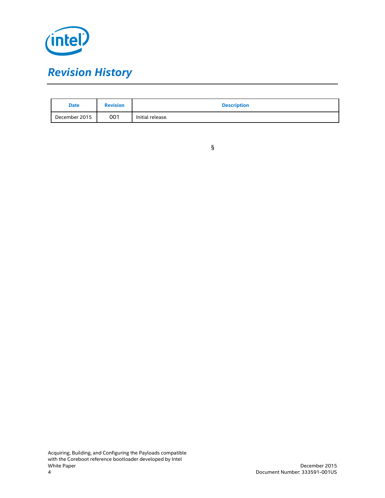

| <b>Date</b>   | <b>Revision</b> | <b>Description</b> |
|---------------|-----------------|--------------------|
| December 2015 | 001             | Initial release.   |

|  | I  |  |
|--|----|--|
|  |    |  |
|  |    |  |
|  | I  |  |
|  | ۰. |  |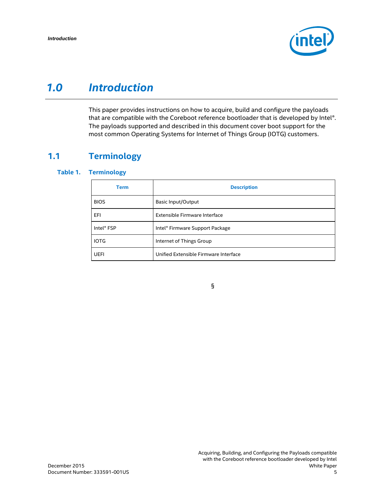

### *1.0 Introduction*

<span id="page-4-1"></span><span id="page-4-0"></span>This paper provides instructions on how to acquire, build and configure the payloads that are compatible with the Coreboot reference bootloader that is developed by Intel®. The payloads supported and described in this document cover boot support for the most common Operating Systems for Internet of Things Group (IOTG) customers.

#### **1.1 Terminology**

#### <span id="page-4-2"></span>**Table 1. Terminology**

| <b>Term</b> | <b>Description</b>                    |
|-------------|---------------------------------------|
| <b>BIOS</b> | <b>Basic Input/Output</b>             |
| EFI         | Extensible Firmware Interface         |
| Intel® FSP  | Intel® Firmware Support Package       |
| <b>IOTG</b> | Internet of Things Group              |
| UEFI        | Unified Extensible Firmware Interface |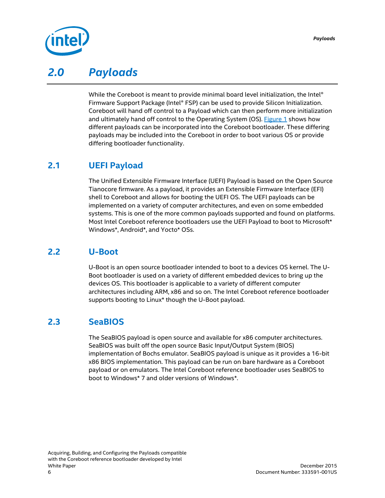

### *2.0 Payloads*

<span id="page-5-0"></span>While the Coreboot is meant to provide minimal board level initialization, the Intel® Firmware Support Package (Intel® FSP) can be used to provide Silicon Initialization. Coreboot will hand off control to a Payload which can then perform more initialization and ultimately hand off control to the Operating System (OS). [Figure 1](#page-6-0) shows how different payloads can be incorporated into the Coreboot bootloader. These differing payloads may be included into the Coreboot in order to boot various OS or provide differing bootloader functionality.

#### **2.1 UEFI Payload**

<span id="page-5-1"></span>The Unified Extensible Firmware Interface (UEFI) Payload is based on the Open Source Tianocore firmware. As a payload, it provides an Extensible Firmware Interface (EFI) shell to Coreboot and allows for booting the UEFI OS. The UEFI payloads can be implemented on a variety of computer architectures, and even on some embedded systems. This is one of the more common payloads supported and found on platforms. Most Intel Coreboot reference bootloaders use the UEFI Payload to boot to Microsoft\* Windows\*, Android\*, and Yocto\* OSs.

#### **2.2 U-Boot**

<span id="page-5-2"></span>U-Boot is an open source bootloader intended to boot to a devices OS kernel. The U-Boot bootloader is used on a variety of different embedded devices to bring up the devices OS. This bootloader is applicable to a variety of different computer architectures including ARM, x86 and so on. The Intel Coreboot reference bootloader supports booting to Linux\* though the U-Boot payload.

#### **2.3 SeaBIOS**

<span id="page-5-3"></span>The SeaBIOS payload is open source and available for x86 computer architectures. SeaBIOS was built off the open source Basic Input/Output System (BIOS) implementation of Bochs emulator. SeaBIOS payload is unique as it provides a 16-bit x86 BIOS implementation. This payload can be run on bare hardware as a Coreboot payload or on emulators. The Intel Coreboot reference bootloader uses SeaBIOS to boot to Windows\* 7 and older versions of Windows\*.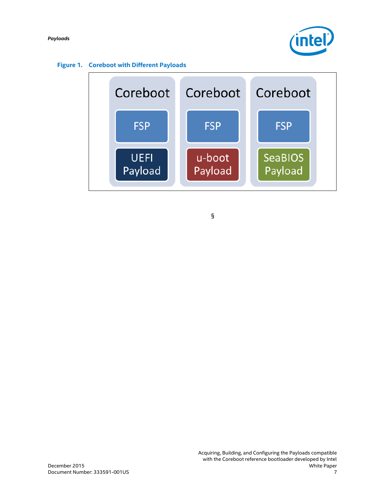*Payloads*



<span id="page-6-0"></span>

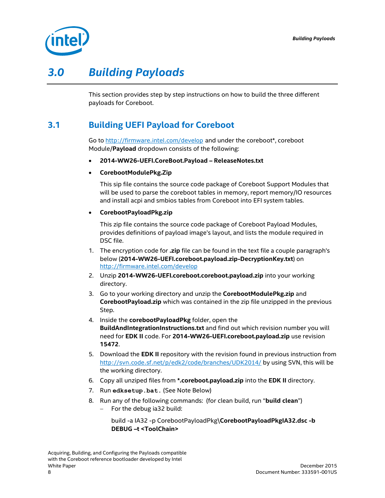

## *3.0 Building Payloads*

<span id="page-7-1"></span><span id="page-7-0"></span>This section provides step by step instructions on how to build the three different payloads for Coreboot.

#### **3.1 Building UEFI Payload for Coreboot**

Go to <http://firmware.intel.com/develop> and under the coreboot\*, coreboot Module/**Payload** dropdown consists of the following:

- **2014-WW26-UEFI.CoreBoot.Payload – ReleaseNotes.txt**
- **CorebootModulePkg.Zip**

This sip file contains the source code package of Coreboot Support Modules that will be used to parse the coreboot tables in memory, report memory/IO resources and install acpi and smbios tables from Coreboot into EFI system tables.

**CorebootPayloadPkg.zip**

This zip file contains the source code package of Coreboot Payload Modules, provides definitions of payload image's layout, and lists the module required in DSC file.

- 1. The encryption code for **.zip** file can be found in the text file a couple paragraph's below (**2014-WW26-UEFI.coreboot.payload.zip-DecryptionKey.txt**) on <http://firmware.intel.com/develop>
- 2. Unzip **2014-WW26-UEFI.coreboot.coreboot.payload.zip** into your working directory.
- 3. Go to your working directory and unzip the **CorebootModulePkg.zip** and **CorebootPayload.zip** which was contained in the zip file unzipped in the previous Step.
- 4. Inside the **corebootPayloadPkg** folder, open the **BuildAndIntegrationInstructions.txt** and find out which revision number you will need for **EDK II** code. For **2014-WW26-UEFI.coreboot.payload.zip** use revision **15472**.
- 5. Download the **EDK II** repository with the revision found in previous instruction from http://svn.code.sf.net/p/edk2/code/branches/UDK2014/ by using SVN, this will be the working directory.
- 6. Copy all unziped files from **\*.coreboot.payload.zip** into the **EDK II** directory.
- 7. Run **edksetup.bat.** (See Note Below)
- 8. Run any of the following commands: (for clean build, run "**build clean**")
	- $-$  For the debug ia32 build:

build -a IA32 -p CorebootPayloadPkg\**CorebootPayloadPkgIA32.dsc -b DEBUG –t <ToolChain>**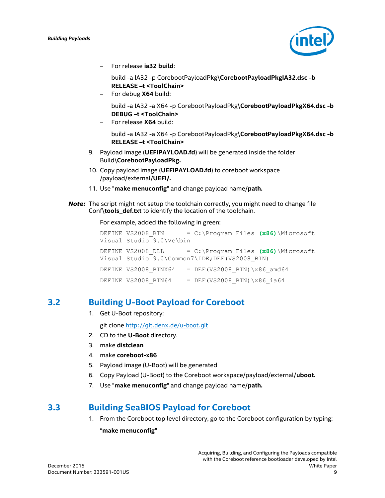

For release **ia32 build**:

build -a IA32 -p CorebootPayloadPkg\**CorebootPayloadPkgIA32.dsc -b RELEASE –t <ToolChain>**

For debug **X64** build:

build -a IA32 -a X64 -p CorebootPayloadPkg\**CorebootPayloadPkgX64.dsc -b DEBUG –t <ToolChain>**

For release **X64** build:

build -a IA32 -a X64 -p CorebootPayloadPkg\**CorebootPayloadPkgX64.dsc -b RELEASE –t <ToolChain>**

- 9. Payload image (**UEFIPAYLOAD.fd**) will be generated inside the folder Build\**CorebootPayloadPkg.**
- 10. Copy payload image (**UEFIPAYLOAD.fd**) to coreboot workspace /payload/external/**UEFI/.**
- 11. Use "**make menuconfig**" and change payload name/**path.**
- **Note:** The script might not setup the toolchain correctly, you might need to change file Conf\**tools\_def.txt** to identify the location of the toolchain.

For example, added the following in green:

|                          | DEFINE VS2008 BIN = $C:\Program$ Files (x86) Microsoft  |
|--------------------------|---------------------------------------------------------|
| Visual Studio 9.0\Vc\bin |                                                         |
|                          | DEFINE VS2008 DLL = $C:\Perogram$ Files (x86) Microsoft |
|                          | Visual Studio 9.0\Common7\IDE; DEF (VS2008 BIN)         |
|                          | DEFINE VS2008 BINX64 = DEF(VS2008 BIN) \x86 amd64       |
| DEFINE VS2008 BIN64      | $=$ DEF (VS2008 BIN) \x86 ia64                          |

#### **3.2 Building U-Boot Payload for Coreboot**

<span id="page-8-0"></span>1. Get U-Boot repository:

git clone <http://git.denx.de/u-boot.git>

- 2. CD to the **U-Boot** directory.
- 3. make **distclean**
- 4. make **coreboot-x86**
- 5. Payload image (U-Boot) will be generated
- 6. Copy Payload (U-Boot) to the Coreboot workspace/payload/external/**uboot.**
- <span id="page-8-1"></span>7. Use "**make menuconfig**" and change payload name/**path.**

#### **3.3 Building SeaBIOS Payload for Coreboot**

1. From the Coreboot top level directory, go to the Coreboot configuration by typing: "**make menuconfig**"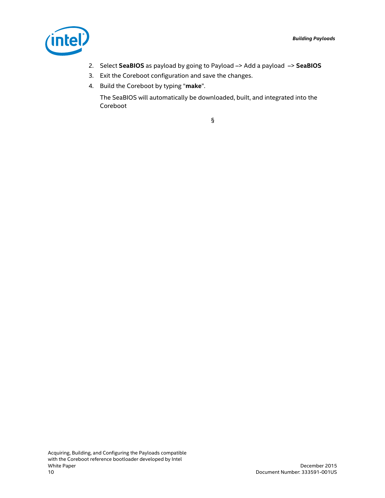

- 2. Select **SeaBIOS** as payload by going to Payload –> Add a payload –> **SeaBIOS**
- 3. Exit the Coreboot configuration and save the changes.
- 4. Build the Coreboot by typing "**make**".

The SeaBIOS will automatically be downloaded, built, and integrated into the Coreboot